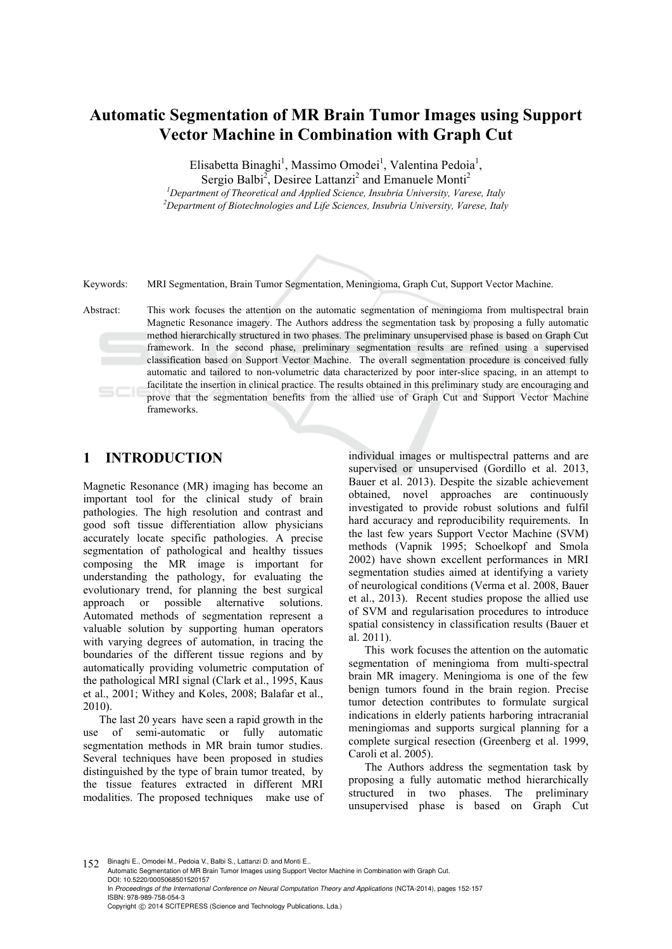# **Automatic Segmentation of MR Brain Tumor Images using Support Vector Machine in Combination with Graph Cut**

Elisabetta Binaghi<sup>1</sup>, Massimo Omodei<sup>1</sup>, Valentina Pedoia<sup>1</sup>,

Sergio Balbi<sup>2</sup>, Desiree Lattanzi<sup>2</sup> and Emanuele Monti<sup>2</sup>

<sup>1</sup> Department of Theoretical and Applied Science, Insubria University, Varese, Italy <sup>2</sup> Department of Biotachuologies and Life Sciences, Insubria University, Varese, Italy *Department of Biotechnologies and Life Sciences, Insubria University, Varese, Italy* 

Keywords: MRI Segmentation, Brain Tumor Segmentation, Meningioma, Graph Cut, Support Vector Machine.

Abstract: This work focuses the attention on the automatic segmentation of meningioma from multispectral brain Magnetic Resonance imagery. The Authors address the segmentation task by proposing a fully automatic method hierarchically structured in two phases. The preliminary unsupervised phase is based on Graph Cut framework. In the second phase, preliminary segmentation results are refined using a supervised classification based on Support Vector Machine. The overall segmentation procedure is conceived fully automatic and tailored to non-volumetric data characterized by poor inter-slice spacing, in an attempt to facilitate the insertion in clinical practice. The results obtained in this preliminary study are encouraging and prove that the segmentation benefits from the allied use of Graph Cut and Support Vector Machine frameworks.

### **1 INTRODUCTION**

Magnetic Resonance (MR) imaging has become an important tool for the clinical study of brain pathologies. The high resolution and contrast and good soft tissue differentiation allow physicians accurately locate specific pathologies. A precise segmentation of pathological and healthy tissues composing the MR image is important for understanding the pathology, for evaluating the evolutionary trend, for planning the best surgical approach or possible alternative solutions. Automated methods of segmentation represent a valuable solution by supporting human operators with varying degrees of automation, in tracing the boundaries of the different tissue regions and by automatically providing volumetric computation of the pathological MRI signal (Clark et al., 1995, Kaus et al., 2001; Withey and Koles, 2008; Balafar et al., 2010).

The last 20 years have seen a rapid growth in the use of semi-automatic or fully automatic segmentation methods in MR brain tumor studies. Several techniques have been proposed in studies distinguished by the type of brain tumor treated, by the tissue features extracted in different MRI modalities. The proposed techniques make use of

individual images or multispectral patterns and are supervised or unsupervised (Gordillo et al. 2013, Bauer et al. 2013). Despite the sizable achievement obtained, novel approaches are continuously investigated to provide robust solutions and fulfil hard accuracy and reproducibility requirements. In the last few years Support Vector Machine (SVM) methods (Vapnik 1995; Schoelkopf and Smola 2002) have shown excellent performances in MRI segmentation studies aimed at identifying a variety of neurological conditions (Verma et al. 2008, Bauer et al., 2013). Recent studies propose the allied use of SVM and regularisation procedures to introduce spatial consistency in classification results (Bauer et al. 2011).

This work focuses the attention on the automatic segmentation of meningioma from multi-spectral brain MR imagery. Meningioma is one of the few benign tumors found in the brain region. Precise tumor detection contributes to formulate surgical indications in elderly patients harboring intracranial meningiomas and supports surgical planning for a complete surgical resection (Greenberg et al. 1999, Caroli et al. 2005).

The Authors address the segmentation task by proposing a fully automatic method hierarchically structured in two phases. The preliminary unsupervised phase is based on Graph Cut

152 Binaghi E., Omodei M., Pedoia V., Balbi S., Lattanzi D. and Monti E.

Automatic Segmentation of MR Brain Tumor Images using Support Vector Machine in Combination with Graph Cut. DOI: 10.5220/0005068501520157

In *Proceedings of the International Conference on Neural Computation Theory and Applications* (NCTA-2014), pages 152-157 ISBN: 978-989-758-054-3

Copyright © 2014 SCITEPRESS (Science and Technology Publications, Lda.)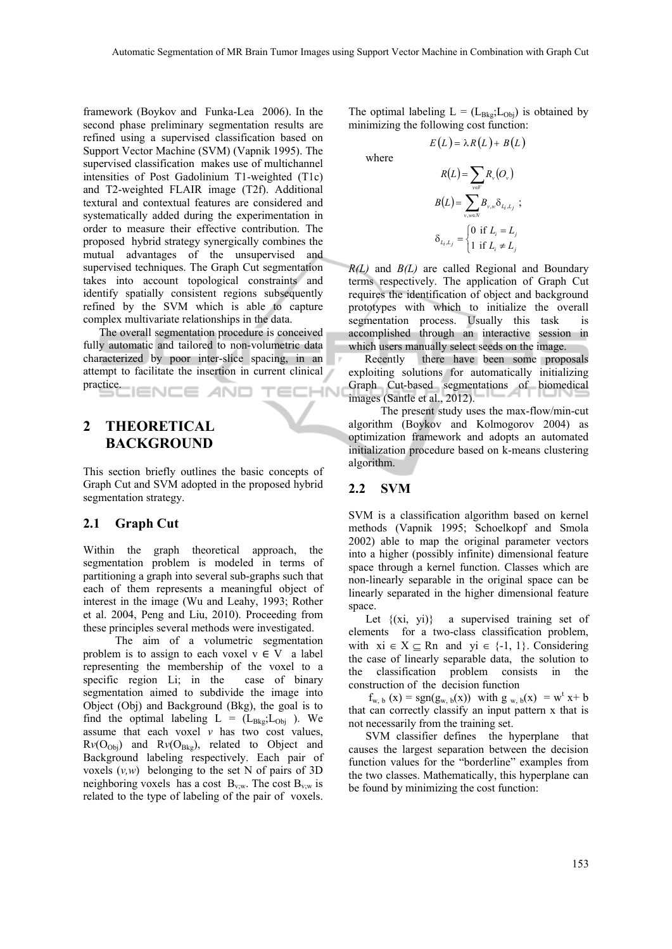where

framework (Boykov and Funka-Lea 2006). In the second phase preliminary segmentation results are refined using a supervised classification based on Support Vector Machine (SVM) (Vapnik 1995). The supervised classification makes use of multichannel intensities of Post Gadolinium T1-weighted (T1c) and T2-weighted FLAIR image (T2f). Additional textural and contextual features are considered and systematically added during the experimentation in order to measure their effective contribution. The proposed hybrid strategy synergically combines the mutual advantages of the unsupervised and supervised techniques. The Graph Cut segmentation takes into account topological constraints and identify spatially consistent regions subsequently refined by the SVM which is able to capture complex multivariate relationships in the data.

The overall segmentation procedure is conceived fully automatic and tailored to non-volumetric data characterized by poor inter-slice spacing, in an attempt to facilitate the insertion in current clinical practice. **ECHN** IENCE *A*ND

## **2 THEORETICAL BACKGROUND**

This section briefly outlines the basic concepts of Graph Cut and SVM adopted in the proposed hybrid segmentation strategy.

#### **2.1 Graph Cut**

Within the graph theoretical approach, the segmentation problem is modeled in terms of partitioning a graph into several sub-graphs such that each of them represents a meaningful object of interest in the image (Wu and Leahy, 1993; Rother et al. 2004, Peng and Liu, 2010). Proceeding from these principles several methods were investigated.

The aim of a volumetric segmentation problem is to assign to each voxel  $v \in V$  a label representing the membership of the voxel to a specific region Li; in the case of binary segmentation aimed to subdivide the image into Object (Obj) and Background (Bkg), the goal is to find the optimal labeling  $L = (L_{Bkg}; L_{Obj})$ . We assume that each voxel  $v$  has two cost values,  $Rv(O<sub>Obj</sub>)$  and  $Rv(O<sub>Bkg</sub>)$ , related to Object and Background labeling respectively. Each pair of voxels (*v,w*) belonging to the set N of pairs of 3D neighboring voxels has a cost  $B_{v,w}$ . The cost  $B_{v,w}$  is related to the type of labeling of the pair of voxels.

The optimal labeling  $L = (L_{Bkg}; L_{Obj})$  is obtained by minimizing the following cost function:

$$
E(L) = \lambda R(L) + B(L)
$$

$$
R(L) = \sum_{v \in V} R_v(O_v)
$$
  
\n
$$
B(L) = \sum_{v,w \in N} B_{v,w} \delta_{L_i,L_j} ;
$$
  
\n
$$
\delta_{L_i,L_j} = \begin{cases} 0 & \text{if } L_i = L_j \\ 1 & \text{if } L_i \neq L_j \end{cases}
$$

*R(L)* and *B(L)* are called Regional and Boundary terms respectively. The application of Graph Cut requires the identification of object and background prototypes with which to initialize the overall segmentation process. Usually this task is accomplished through an interactive session in which users manually select seeds on the image.

Recently there have been some proposals exploiting solutions for automatically initializing Graph Cut-based segmentations of biomedical images (Santle et al., 2012).

The present study uses the max-flow/min-cut algorithm (Boykov and Kolmogorov 2004) as optimization framework and adopts an automated initialization procedure based on k-means clustering algorithm.

#### **2.2 SVM**

SVM is a classification algorithm based on kernel methods (Vapnik 1995; Schoelkopf and Smola 2002) able to map the original parameter vectors into a higher (possibly infinite) dimensional feature space through a kernel function. Classes which are non-linearly separable in the original space can be linearly separated in the higher dimensional feature space.

Let  $\{(xi, yi)\}$  a supervised training set of elements for a two-class classification problem, with  $xi \in X \subseteq \mathbb{R}$ n and  $yi \in \{-1, 1\}$ . Considering the case of linearly separable data, the solution to the classification problem consists in the construction of the decision function

 $f_{w, b}(x) = sgn(g_{w, b}(x))$  with  $g_{w, b}(x) = w^{t} x + b$ that can correctly classify an input pattern x that is not necessarily from the training set.

SVM classifier defines the hyperplane that causes the largest separation between the decision function values for the "borderline" examples from the two classes. Mathematically, this hyperplane can be found by minimizing the cost function: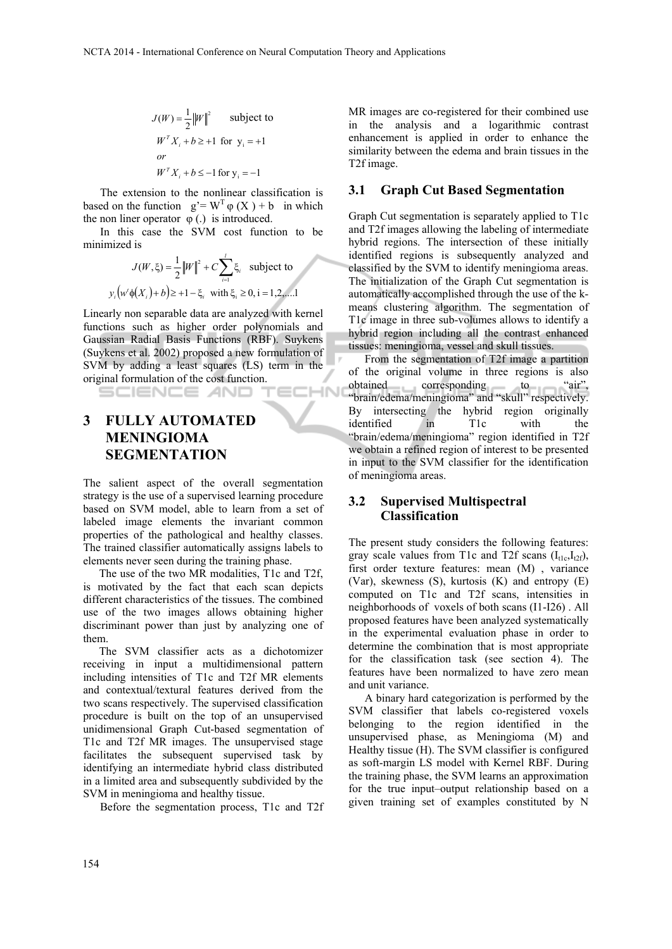$$
J(W) = \frac{1}{2} ||W||^2 \qquad \text{subject to}
$$
  

$$
W^T X_i + b \ge +1 \text{ for } y_i = +1
$$
  
*or*  

$$
W^T X_i + b \le -1 \text{ for } y_i = -1
$$

The extension to the nonlinear classification is based on the function  $g' = W^T \varphi(X) + b$  in which the non liner operator  $\varphi$  (.) is introduced.

In this case the SVM cost function to be minimized is

$$
J(W, \xi) = \frac{1}{2} ||W||^{2} + C \sum_{i=1}^{I} \xi_{i} \text{ subject to}
$$
  

$$
y_{i} (w' \phi(X_{i}) + b) \ge +1 - \xi_{i} \text{ with } \xi_{i} \ge 0, i = 1, 2, \dots
$$

Linearly non separable data are analyzed with kernel functions such as higher order polynomials and Gaussian Radial Basis Functions (RBF). Suykens (Suykens et al. 2002) proposed a new formulation of SVM by adding a least squares (LS) term in the original formulation of the cost function.

## **3 FULLY AUTOMATED MENINGIOMA SEGMENTATION**

SCIENCE *A*ND

The salient aspect of the overall segmentation strategy is the use of a supervised learning procedure based on SVM model, able to learn from a set of labeled image elements the invariant common properties of the pathological and healthy classes. The trained classifier automatically assigns labels to elements never seen during the training phase.

The use of the two MR modalities, T1c and T2f, is motivated by the fact that each scan depicts different characteristics of the tissues. The combined use of the two images allows obtaining higher discriminant power than just by analyzing one of them.

The SVM classifier acts as a dichotomizer receiving in input a multidimensional pattern including intensities of T1c and T2f MR elements and contextual/textural features derived from the two scans respectively. The supervised classification procedure is built on the top of an unsupervised unidimensional Graph Cut-based segmentation of T1c and T2f MR images. The unsupervised stage facilitates the subsequent supervised task by identifying an intermediate hybrid class distributed in a limited area and subsequently subdivided by the SVM in meningioma and healthy tissue.

Before the segmentation process, T1c and T2f

MR images are co-registered for their combined use in the analysis and a logarithmic contrast enhancement is applied in order to enhance the similarity between the edema and brain tissues in the T2f image.

### **3.1 Graph Cut Based Segmentation**

Graph Cut segmentation is separately applied to T1c and T2f images allowing the labeling of intermediate hybrid regions. The intersection of these initially identified regions is subsequently analyzed and classified by the SVM to identify meningioma areas. The initialization of the Graph Cut segmentation is automatically accomplished through the use of the kmeans clustering algorithm. The segmentation of T1c image in three sub-volumes allows to identify a hybrid region including all the contrast enhanced tissues: meningioma, vessel and skull tissues.

From the segmentation of T2f image a partition of the original volume in three regions is also obtained corresponding to "air", obtained corresponding to "brain/edema/meningioma" and "skull" respectively. By intersecting the hybrid region originally identified in T1c with the "brain/edema/meningioma" region identified in T2f we obtain a refined region of interest to be presented in input to the SVM classifier for the identification of meningioma areas.

### **3.2 Supervised Multispectral Classification**

The present study considers the following features: gray scale values from T1c and T2f scans  $(I_{t1c}, I_{t2f})$ , first order texture features: mean (M) , variance (Var), skewness (S), kurtosis (K) and entropy (E) computed on T1c and T2f scans, intensities in neighborhoods of voxels of both scans (I1-I26) . All proposed features have been analyzed systematically in the experimental evaluation phase in order to determine the combination that is most appropriate for the classification task (see section 4). The features have been normalized to have zero mean and unit variance.

A binary hard categorization is performed by the SVM classifier that labels co-registered voxels belonging to the region identified in the unsupervised phase, as Meningioma (M) and Healthy tissue (H). The SVM classifier is configured as soft-margin LS model with Kernel RBF. During the training phase, the SVM learns an approximation for the true input–output relationship based on a given training set of examples constituted by N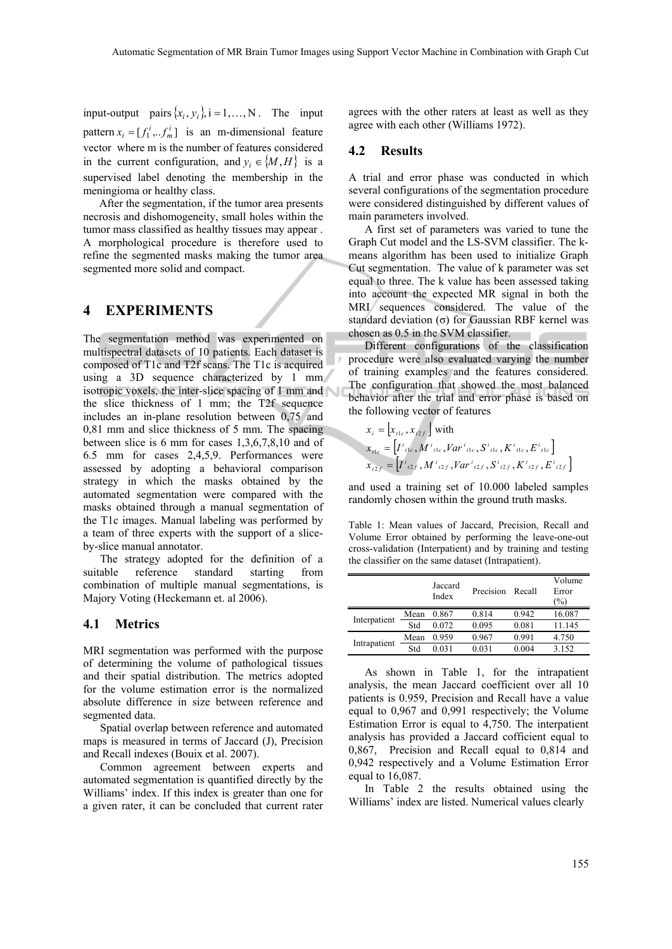input-output pairs  $\{x_i, y_i\}$ ,  $i = 1,..., N$ . The input pattern  $x_i = [f_1^i, \dots, f_m^i]$  is an m-dimensional feature vector where m is the number of features considered in the current configuration, and  $y_i \in \{M, H\}$  is a supervised label denoting the membership in the meningioma or healthy class.

After the segmentation, if the tumor area presents necrosis and dishomogeneity, small holes within the tumor mass classified as healthy tissues may appear . A morphological procedure is therefore used to refine the segmented masks making the tumor area segmented more solid and compact.

#### **4 EXPERIMENTS**

The segmentation method was experimented on multispectral datasets of 10 patients. Each dataset is composed of T1c and T2f scans. The T1c is acquired using a 3D sequence characterized by 1 mm isotropic voxels, the inter-slice spacing of 1 mm and the slice thickness of 1 mm; the T2f sequence includes an in-plane resolution between 0,75 and 0,81 mm and slice thickness of 5 mm. The spacing between slice is 6 mm for cases 1,3,6,7,8,10 and of 6.5 mm for cases 2,4,5,9. Performances were assessed by adopting a behavioral comparison strategy in which the masks obtained by the automated segmentation were compared with the masks obtained through a manual segmentation of the T1c images. Manual labeling was performed by a team of three experts with the support of a sliceby-slice manual annotator.

The strategy adopted for the definition of a suitable reference standard starting from combination of multiple manual segmentations, is Majory Voting (Heckemann et. al 2006).

#### **4.1 Metrics**

MRI segmentation was performed with the purpose of determining the volume of pathological tissues and their spatial distribution. The metrics adopted for the volume estimation error is the normalized absolute difference in size between reference and segmented data.

Spatial overlap between reference and automated maps is measured in terms of Jaccard (J), Precision and Recall indexes (Bouix et al. 2007).

Common agreement between experts and automated segmentation is quantified directly by the Williams' index. If this index is greater than one for a given rater, it can be concluded that current rater agrees with the other raters at least as well as they agree with each other (Williams 1972).

#### **4.2 Results**

A trial and error phase was conducted in which several configurations of the segmentation procedure were considered distinguished by different values of main parameters involved.

A first set of parameters was varied to tune the Graph Cut model and the LS-SVM classifier. The kmeans algorithm has been used to initialize Graph Cut segmentation. The value of k parameter was set equal to three. The k value has been assessed taking into account the expected MR signal in both the MRI sequences considered. The value of the standard deviation (σ) for Gaussian RBF kernel was chosen as 0.5 in the SVM classifier.

Different configurations of the classification procedure were also evaluated varying the number of training examples and the features considered. The configuration that showed the most balanced behavior after the trial and error phase is based on the following vector of features

$$
x_{i} = [x_{i1e}, x_{i2f}] \text{ with}
$$
  
\n
$$
x_{i1e} = [I^{i}{}_{11e}, M^{i}{}_{11e}, Var^{i}{}_{11e}, S^{i}{}_{11e}, K^{i}{}_{11e}, E^{i}{}_{11e}]
$$
  
\n
$$
x_{i2f} = [I^{i}{}_{i2f}, M^{i}{}_{i2f}, Var^{i}{}_{i2f}, S^{i}{}_{i2f}, K^{i}{}_{i2f}, E^{i}{}_{i2f}]
$$

and used a training set of 10.000 labeled samples randomly chosen within the ground truth masks.

Table 1: Mean values of Jaccard, Precision, Recall and Volume Error obtained by performing the leave-one-out cross-validation (Interpatient) and by training and testing the classifier on the same dataset (Intrapatient).

|              |      | Jaccard<br>Index | Precision | Recall | Volume<br>Error<br>$(\%)$ |  |
|--------------|------|------------------|-----------|--------|---------------------------|--|
| Interpatient | Mean | 0.867            | 0.814     | 0.942  | 16.087                    |  |
|              | Std  | 0.072            | 0.095     | 0.081  | 11.145                    |  |
| Intrapatient | Mean | 0.959            | 0.967     | 0.991  | 4.750                     |  |
|              | Std  | 0.031            | 0.031     | 0.004  | 3.152                     |  |

As shown in Table 1, for the intrapatient analysis, the mean Jaccard coefficient over all 10 patients is 0.959, Precision and Recall have a value equal to 0,967 and 0,991 respectively; the Volume Estimation Error is equal to 4,750. The interpatient analysis has provided a Jaccard cofficient equal to 0,867, Precision and Recall equal to 0,814 and 0,942 respectively and a Volume Estimation Error equal to 16,087.

In Table 2 the results obtained using the Williams' index are listed. Numerical values clearly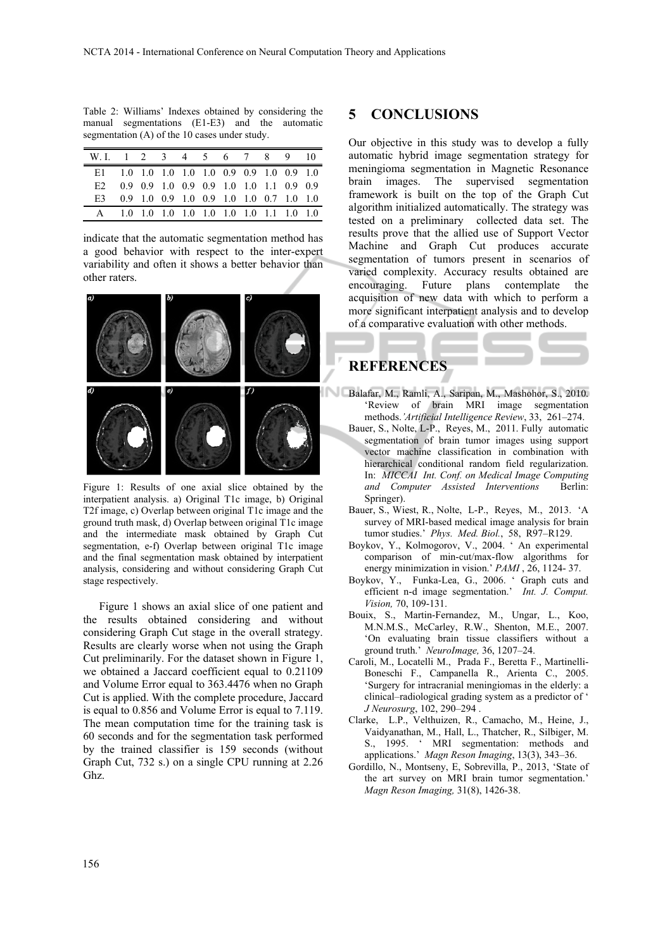Table 2: Williams' Indexes obtained by considering the manual segmentations (E1-E3) and the automatic segmentation (A) of the 10 cases under study.

| W.I. 1 2 3 4 5 6 7 8 9 10                  |                                         |  |  |  |  |
|--------------------------------------------|-----------------------------------------|--|--|--|--|
| E1 1.0 1.0 1.0 1.0 1.0 0.9 0.9 1.0 0.9 1.0 |                                         |  |  |  |  |
| E2 0.9 0.9 1.0 0.9 0.9 1.0 1.0 1.1 0.9 0.9 |                                         |  |  |  |  |
| E3.                                        | 0.9 1.0 0.9 1.0 0.9 1.0 1.0 0.7 1.0 1.0 |  |  |  |  |
|                                            | 1.0 1.0 1.0 1.0 1.0 1.0 1.0 1.1 1.0 1.0 |  |  |  |  |

indicate that the automatic segmentation method has a good behavior with respect to the inter-expert variability and often it shows a better behavior than other raters.



Figure 1: Results of one axial slice obtained by the interpatient analysis. a) Original T1c image, b) Original T2f image, c) Overlap between original T1c image and the ground truth mask, d) Overlap between original T1c image and the intermediate mask obtained by Graph Cut segmentation, e-f) Overlap between original T1c image and the final segmentation mask obtained by interpatient analysis, considering and without considering Graph Cut stage respectively.

Figure 1 shows an axial slice of one patient and the results obtained considering and without considering Graph Cut stage in the overall strategy. Results are clearly worse when not using the Graph Cut preliminarily. For the dataset shown in Figure 1, we obtained a Jaccard coefficient equal to 0.21109 and Volume Error equal to 363.4476 when no Graph Cut is applied. With the complete procedure, Jaccard is equal to 0.856 and Volume Error is equal to 7.119. The mean computation time for the training task is 60 seconds and for the segmentation task performed by the trained classifier is 159 seconds (without Graph Cut, 732 s.) on a single CPU running at 2.26 Ghz.

### **5 CONCLUSIONS**

Our objective in this study was to develop a fully automatic hybrid image segmentation strategy for meningioma segmentation in Magnetic Resonance brain images. The supervised segmentation framework is built on the top of the Graph Cut algorithm initialized automatically. The strategy was tested on a preliminary collected data set. The results prove that the allied use of Support Vector Machine and Graph Cut produces accurate segmentation of tumors present in scenarios of varied complexity. Accuracy results obtained are encouraging. Future plans contemplate the acquisition of new data with which to perform a more significant interpatient analysis and to develop of a comparative evaluation with other methods.

## **REFERENCES**

- Balafar, M., Ramli, A., Saripan, M., Mashohor, S., 2010. 'Review of brain MRI image segmentation methods.*'Artificial Intelligence Review*, 33, 261–274.
	- Bauer, S., Nolte, L-P., Reyes, M., 2011. Fully automatic segmentation of brain tumor images using support vector machine classification in combination with hierarchical conditional random field regularization. In: *MICCAI Int. Conf. on Medical Image Computing and Computer Assisted Interventions* Berlin: Springer).
	- Bauer, S., Wiest, R., Nolte, L-P., Reyes, M., 2013. 'A survey of MRI-based medical image analysis for brain tumor studies.' *Phys. Med. Biol.*, 58, R97–R129.
	- Boykov, Y., Kolmogorov, V., 2004. ' An experimental comparison of min-cut/max-flow algorithms for energy minimization in vision.' *PAMI* , 26, 1124- 37.
	- Boykov, Y., Funka-Lea, G., 2006. ' Graph cuts and efficient n-d image segmentation.' *Int. J. Comput. Vision,* 70, 109-131.
	- Bouix, S., Martin-Fernandez, M., Ungar, L., Koo, M.N.M.S., McCarley, R.W., Shenton, M.E., 2007. 'On evaluating brain tissue classifiers without a ground truth.' *NeuroImage,* 36, 1207–24.
	- Caroli, M., Locatelli M., Prada F., Beretta F., Martinelli-Boneschi F., Campanella R., Arienta C., 2005. 'Surgery for intracranial meningiomas in the elderly: a clinical–radiological grading system as a predictor of ' *J Neurosurg*, 102, 290–294 .
	- Clarke, L.P., Velthuizen, R., Camacho, M., Heine, J., Vaidyanathan, M., Hall, L., Thatcher, R., Silbiger, M. S., 1995. ' MRI segmentation: methods and applications.' *Magn Reson Imaging*, 13(3), 343–36.
	- Gordillo, N., Montseny, E, Sobrevilla, P., 2013, 'State of the art survey on MRI brain tumor segmentation.' *Magn Reson Imaging,* 31(8), 1426-38.